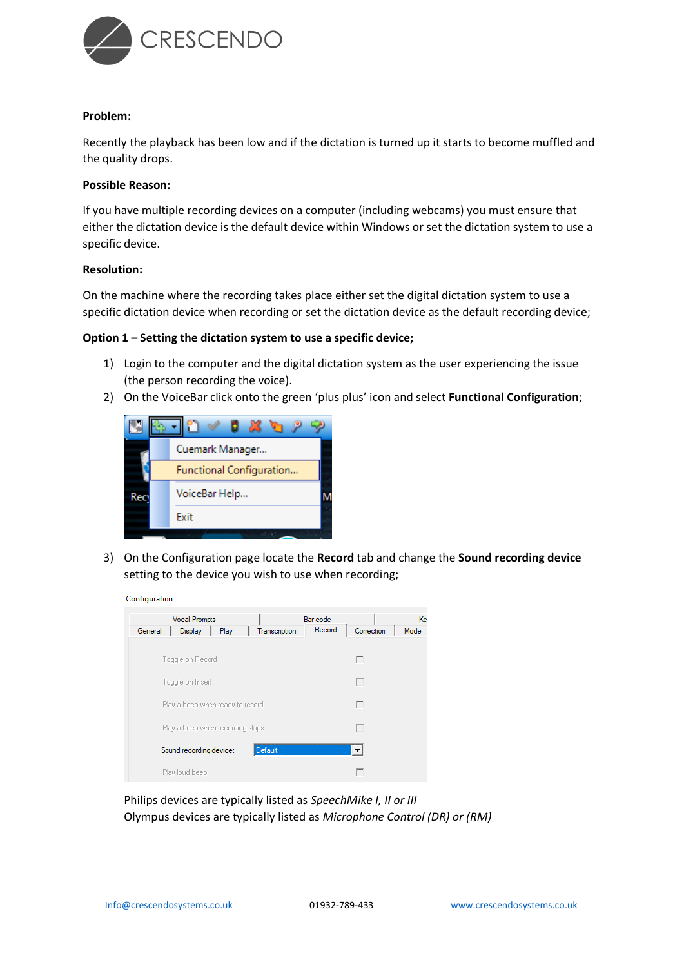

#### **Problem:**

Recently the playback has been low and if the dictation is turned up it starts to become muffled and the quality drops.

## **Possible Reason:**

If you have multiple recording devices on a computer (including webcams) you must ensure that either the dictation device is the default device within Windows or set the dictation system to use a specific device.

## **Resolution:**

On the machine where the recording takes place either set the digital dictation system to use a specific dictation device when recording or set the dictation device as the default recording device;

#### **Option 1 – Setting the dictation system to use a specific device;**

- 1) Login to the computer and the digital dictation system as the user experiencing the issue (the person recording the voice).
- 2) On the VoiceBar click onto the green 'plus plus' icon and select **Functional Configuration**;



3) On the Configuration page locate the **Record** tab and change the **Sound recording device** setting to the device you wish to use when recording;



| <b>Vocal Prompts</b>                        | Bar code |            | Ke   |
|---------------------------------------------|----------|------------|------|
| Display<br>General<br>Play<br>Transcription | Record   | Correction | Mode |
| Toggle on Record                            |          | г          |      |
| Toggle on Insert                            |          | г          |      |
| Play a beep when ready to record            |          | г          |      |
| Play a beep when recording stops            |          | г          |      |
| Default<br>Sound recording device:          |          | ▼          |      |
| Play loud beep                              |          |            |      |

Philips devices are typically listed as *SpeechMike I, II or III* Olympus devices are typically listed as *Microphone Control (DR) or (RM)*